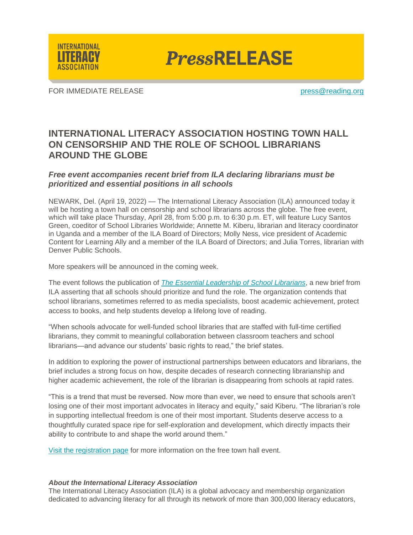

**PressRELEASE** 

FOR IMMEDIATE RELEASE **provided** and the press of the press of the press of the press of the press of the press of the press of the press of the press of the press of the press of the press of the press of the press of the

## **INTERNATIONAL LITERACY ASSOCIATION HOSTING TOWN HALL ON CENSORSHIP AND THE ROLE OF SCHOOL LIBRARIANS AROUND THE GLOBE**

## *Free event accompanies recent brief from ILA declaring librarians must be prioritized and essential positions in all schools*

NEWARK, Del. (April 19, 2022) — The International Literacy Association (ILA) announced today it will be hosting a town hall on censorship and school librarians across the globe. The free event, which will take place Thursday, April 28, from 5:00 p.m. to 6:30 p.m. ET, will feature Lucy Santos Green, coeditor of School Libraries Worldwide; Annette M. Kiberu, librarian and literacy coordinator in Uganda and a member of the ILA Board of Directors; Molly Ness, vice president of Academic Content for Learning Ally and a member of the ILA Board of Directors; and Julia Torres, librarian with Denver Public Schools.

More speakers will be announced in the coming week.

The event follows the publication of *[The Essential Leadership of School Librarians](https://www.literacyworldwide.org/docs/default-source/where-we-stand/the-essential-leadership-of-school-librarians.pdf?sfvrsn=f80c5216_6)*, a new brief from ILA asserting that all schools should prioritize and fund the role. The organization contends that school librarians, sometimes referred to as media specialists, boost academic achievement, protect access to books, and help students develop a lifelong love of reading.

"When schools advocate for well-funded school libraries that are staffed with full-time certified librarians, they commit to meaningful collaboration between classroom teachers and school librarians—and advance our students' basic rights to read," the brief states.

In addition to exploring the power of instructional partnerships between educators and librarians, the brief includes a strong focus on how, despite decades of research connecting librarianship and higher academic achievement, the role of the librarian is disappearing from schools at rapid rates.

"This is a trend that must be reversed. Now more than ever, we need to ensure that schools aren't losing one of their most important advocates in literacy and equity," said Kiberu. "The librarian's role in supporting intellectual freedom is one of their most important. Students deserve access to a thoughtfully curated space ripe for self-exploration and development, which directly impacts their ability to contribute to and shape the world around them."

[Visit the registration page](https://us02web.zoom.us/meeting/register/tZIvc-qqpz8oGNwtl0JIj5VMffDbVttcS9pj) for more information on the free town hall event.

## *About the International Literacy Association*

The International Literacy Association (ILA) is a global advocacy and membership organization dedicated to advancing literacy for all through its network of more than 300,000 literacy educators,